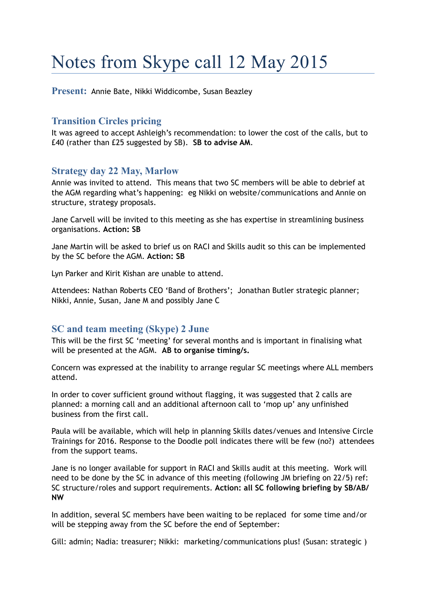# Notes from Skype call 12 May 2015

**Present:** Annie Bate, Nikki Widdicombe, Susan Beazley

# **Transition Circles pricing**

It was agreed to accept Ashleigh's recommendation: to lower the cost of the calls, but to £40 (rather than £25 suggested by SB). **SB to advise AM**.

## **Strategy day 22 May, Marlow**

Annie was invited to attend. This means that two SC members will be able to debrief at the AGM regarding what's happening: eg Nikki on website/communications and Annie on structure, strategy proposals.

Jane Carvell will be invited to this meeting as she has expertise in streamlining business organisations. **Action: SB**

Jane Martin will be asked to brief us on RACI and Skills audit so this can be implemented by the SC before the AGM. **Action: SB** 

Lyn Parker and Kirit Kishan are unable to attend.

Attendees: Nathan Roberts CEO 'Band of Brothers'; Jonathan Butler strategic planner; Nikki, Annie, Susan, Jane M and possibly Jane C

#### **SC and team meeting (Skype) 2 June**

This will be the first SC 'meeting' for several months and is important in finalising what will be presented at the AGM. **AB to organise timing/s.** 

Concern was expressed at the inability to arrange regular SC meetings where ALL members attend.

In order to cover sufficient ground without flagging, it was suggested that 2 calls are planned: a morning call and an additional afternoon call to 'mop up' any unfinished business from the first call.

Paula will be available, which will help in planning Skills dates/venues and Intensive Circle Trainings for 2016. Response to the Doodle poll indicates there will be few (no?) attendees from the support teams.

Jane is no longer available for support in RACI and Skills audit at this meeting. Work will need to be done by the SC in advance of this meeting (following JM briefing on 22/5) ref: SC structure/roles and support requirements. **Action: all SC following briefing by SB/AB/ NW**

In addition, several SC members have been waiting to be replaced for some time and/or will be stepping away from the SC before the end of September:

Gill: admin; Nadia: treasurer; Nikki: marketing/communications plus! (Susan: strategic )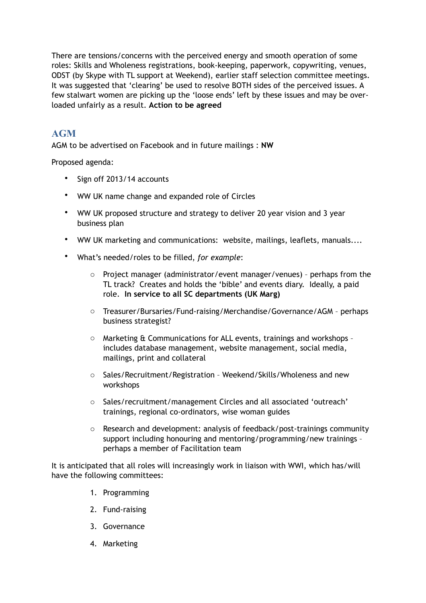There are tensions/concerns with the perceived energy and smooth operation of some roles: Skills and Wholeness registrations, book-keeping, paperwork, copywriting, venues, ODST (by Skype with TL support at Weekend), earlier staff selection committee meetings. It was suggested that 'clearing' be used to resolve BOTH sides of the perceived issues. A few stalwart women are picking up the 'loose ends' left by these issues and may be overloaded unfairly as a result. **Action to be agreed**

# **AGM**

AGM to be advertised on Facebook and in future mailings : **NW** 

Proposed agenda:

- Sign off 2013/14 accounts
- WW UK name change and expanded role of Circles
- WW UK proposed structure and strategy to deliver 20 year vision and 3 year business plan
- WW UK marketing and communications: website, mailings, leaflets, manuals....
- What's needed/roles to be filled, *for example*:
	- o Project manager (administrator/event manager/venues) perhaps from the TL track? Creates and holds the 'bible' and events diary. Ideally, a paid role. **In service to all SC departments (UK Marg)**
	- o Treasurer/Bursaries/Fund-raising/Merchandise/Governance/AGM perhaps business strategist?
	- o Marketing & Communications for ALL events, trainings and workshops includes database management, website management, social media, mailings, print and collateral
	- o Sales/Recruitment/Registration Weekend/Skills/Wholeness and new workshops
	- o Sales/recruitment/management Circles and all associated 'outreach' trainings, regional co-ordinators, wise woman guides
	- o Research and development: analysis of feedback/post-trainings community support including honouring and mentoring/programming/new trainings – perhaps a member of Facilitation team

It is anticipated that all roles will increasingly work in liaison with WWI, which has/will have the following committees:

- 1. Programming
- 2. Fund-raising
- 3. Governance
- 4. Marketing